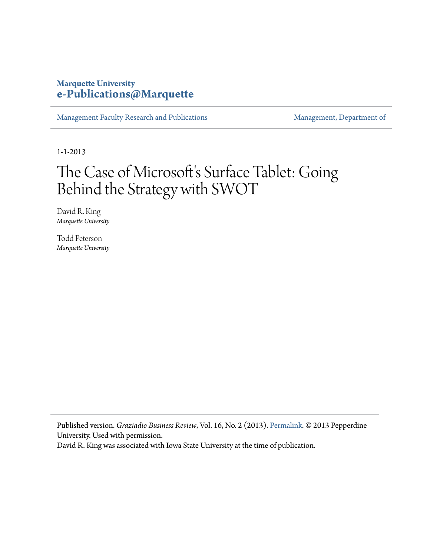# **Marquette University [e-Publications@Marquette](https://epublications.marquette.edu)**

[Management Faculty Research and Publications](https://epublications.marquette.edu/mgmt_fac) [Management, Department of](https://epublications.marquette.edu/mgmt)

1-1-2013

# The Case of Microsoft's Surface Tablet: Going Behind the Strategy with SWOT

David R. King *Marquette University*

Todd Peterson *Marquette University*

Published version. *Graziadio Business Review*, Vol. 16, No. 2 (2013). [Permalink](http://gbr.pepperdine.edu/2013/09/microsoft-surface-tablet/). © 2013 Pepperdine University. Used with permission.

David R. King was associated with Iowa State University at the time of publication.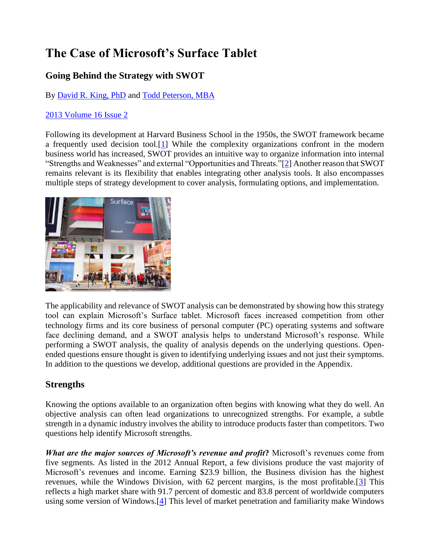# **The Case of Microsoft's Surface Tablet**

# **Going Behind the Strategy with SWOT**

By [David R. King, PhD](http://gbr.pepperdine.edu/author/king_d/) and [Todd Peterson, MBA](http://gbr.pepperdine.edu/author/peterson_t/)

#### [2013 Volume 16 Issue 2](http://gbr.pepperdine.edu/index.php/issues/?issue=2013%20Volume%2016%20Issue%202)

Following its development at Harvard Business School in the 1950s, the SWOT framework became a frequently used decision tool.[\[1\]](http://gbr.pepperdine.edu/2013/09/microsoft-surface-tablet/#note1) While the complexity organizations confront in the modern business world has increased, SWOT provides an intuitive way to organize information into internal "Strengths and Weaknesses" and external "Opportunities and Threats."[\[2\]](http://gbr.pepperdine.edu/2013/09/microsoft-surface-tablet/#note2) Another reason that SWOT remains relevant is its flexibility that enables integrating other analysis tools. It also encompasses multiple steps of strategy development to cover analysis, formulating options, and implementation.



The applicability and relevance of SWOT analysis can be demonstrated by showing how this strategy tool can explain Microsoft's Surface tablet. Microsoft faces increased competition from other technology firms and its core business of personal computer (PC) operating systems and software face declining demand, and a SWOT analysis helps to understand Microsoft's response. While performing a SWOT analysis, the quality of analysis depends on the underlying questions. Openended questions ensure thought is given to identifying underlying issues and not just their symptoms. In addition to the questions we develop, additional questions are provided in the Appendix.

# **Strengths**

Knowing the options available to an organization often begins with knowing what they do well. An objective analysis can often lead organizations to unrecognized strengths. For example, a subtle strength in a dynamic industry involves the ability to introduce products faster than competitors. Two questions help identify Microsoft strengths.

*What are the major sources of Microsoft's revenue and profit***?** Microsoft's revenues come from five segments. As listed in the 2012 Annual Report, a few divisions produce the vast majority of Microsoft's revenues and income. Earning \$23.9 billion, the Business division has the highest revenues, while the Windows Division, with 62 percent margins, is the most profitable.[\[3\]](http://gbr.pepperdine.edu/2013/09/microsoft-surface-tablet/#note3) This reflects a high market share with 91.7 percent of domestic and 83.8 percent of worldwide computers using some version of Windows.[\[4\]](http://gbr.pepperdine.edu/2013/09/microsoft-surface-tablet/#note4) This level of market penetration and familiarity make Windows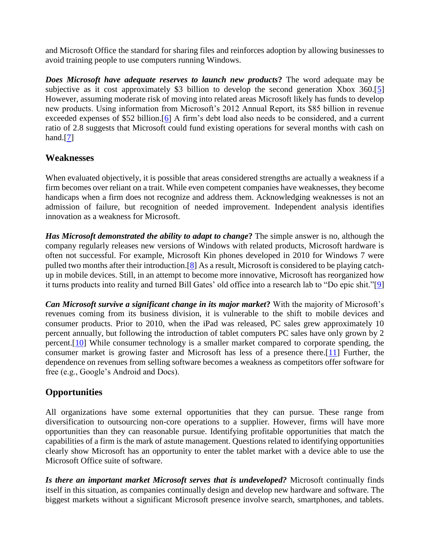and Microsoft Office the standard for sharing files and reinforces adoption by allowing businesses to avoid training people to use computers running Windows.

*Does Microsoft have adequate reserves to launch new products***?** The word adequate may be subjective as it cost approximately \$3 billion to develop the second generation Xbox 360.[\[5\]](http://gbr.pepperdine.edu/2013/09/microsoft-surface-tablet/#note5) However, assuming moderate risk of moving into related areas Microsoft likely has funds to develop new products. Using information from Microsoft's 2012 Annual Report, its \$85 billion in revenue exceeded expenses of \$52 billion.[\[6\]](http://gbr.pepperdine.edu/2013/09/microsoft-surface-tablet/#note6) A firm's debt load also needs to be considered, and a current ratio of 2.8 suggests that Microsoft could fund existing operations for several months with cash on hand. $[7]$ 

### **Weaknesses**

When evaluated objectively, it is possible that areas considered strengths are actually a weakness if a firm becomes over reliant on a trait. While even competent companies have weaknesses, they become handicaps when a firm does not recognize and address them. Acknowledging weaknesses is not an admission of failure, but recognition of needed improvement. Independent analysis identifies innovation as a weakness for Microsoft.

*Has Microsoft demonstrated the ability to adapt to change***?** The simple answer is no, although the company regularly releases new versions of Windows with related products, Microsoft hardware is often not successful. For example, Microsoft Kin phones developed in 2010 for Windows 7 were pulled two months after their introduction.<sup>[\[8\]](http://gbr.pepperdine.edu/2013/09/microsoft-surface-tablet/#note8)</sup> As a result, Microsoft is considered to be playing catchup in mobile devices. Still, in an attempt to become more innovative, Microsoft has reorganized how it turns products into reality and turned Bill Gates' old office into a research lab to "Do epic shit."[\[9\]](http://gbr.pepperdine.edu/2013/09/microsoft-surface-tablet/#note9)

*Can Microsoft survive a significant change in its major market***?** With the majority of Microsoft's revenues coming from its business division, it is vulnerable to the shift to mobile devices and consumer products. Prior to 2010, when the iPad was released, PC sales grew approximately 10 percent annually, but following the introduction of tablet computers PC sales have only grown by 2 percent.[\[10\]](http://gbr.pepperdine.edu/2013/09/microsoft-surface-tablet/#note10) While consumer technology is a smaller market compared to corporate spending, the consumer market is growing faster and Microsoft has less of a presence there.[\[11\]](http://gbr.pepperdine.edu/2013/09/microsoft-surface-tablet/#note11) Further, the dependence on revenues from selling software becomes a weakness as competitors offer software for free (e.g., Google's Android and Docs).

# **Opportunities**

All organizations have some external opportunities that they can pursue. These range from diversification to outsourcing non-core operations to a supplier. However, firms will have more opportunities than they can reasonable pursue. Identifying profitable opportunities that match the capabilities of a firm is the mark of astute management. Questions related to identifying opportunities clearly show Microsoft has an opportunity to enter the tablet market with a device able to use the Microsoft Office suite of software.

*Is there an important market Microsoft serves that is undeveloped?* Microsoft continually finds itself in this situation, as companies continually design and develop new hardware and software. The biggest markets without a significant Microsoft presence involve search, smartphones, and tablets.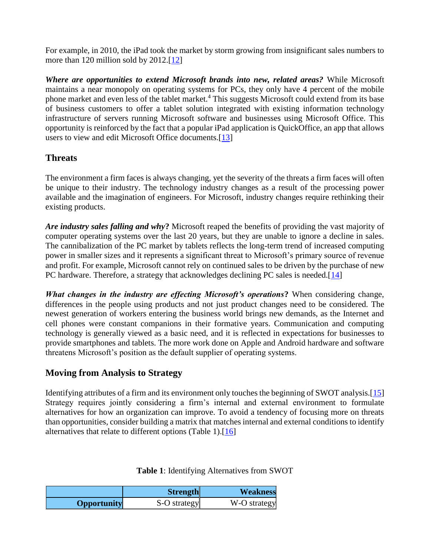For example, in 2010, the iPad took the market by storm growing from insignificant sales numbers to more than 120 million sold by 2012.[\[12\]](http://gbr.pepperdine.edu/2013/09/microsoft-surface-tablet/#note12)

*Where are opportunities to extend Microsoft brands into new, related areas?* While Microsoft maintains a near monopoly on operating systems for PCs, they only have 4 percent of the mobile phone market and even less of the tablet market.<sup>4</sup> This suggests Microsoft could extend from its base of business customers to offer a tablet solution integrated with existing information technology infrastructure of servers running Microsoft software and businesses using Microsoft Office. This opportunity is reinforced by the fact that a popular iPad application is QuickOffice, an app that allows users to view and edit Microsoft Office documents.[\[13\]](http://gbr.pepperdine.edu/2013/09/microsoft-surface-tablet/#note13)

# **Threats**

The environment a firm faces is always changing, yet the severity of the threats a firm faces will often be unique to their industry. The technology industry changes as a result of the processing power available and the imagination of engineers. For Microsoft, industry changes require rethinking their existing products.

*Are industry sales falling and why***?** Microsoft reaped the benefits of providing the vast majority of computer operating systems over the last 20 years, but they are unable to ignore a decline in sales. The cannibalization of the PC market by tablets reflects the long-term trend of increased computing power in smaller sizes and it represents a significant threat to Microsoft's primary source of revenue and profit. For example, Microsoft cannot rely on continued sales to be driven by the purchase of new PC hardware. Therefore, a strategy that acknowledges declining PC sales is needed. [\[14\]](http://gbr.pepperdine.edu/2013/09/microsoft-surface-tablet/#note14)

*What changes in the industry are effecting Microsoft's operations***?** When considering change, differences in the people using products and not just product changes need to be considered. The newest generation of workers entering the business world brings new demands, as the Internet and cell phones were constant companions in their formative years. Communication and computing technology is generally viewed as a basic need, and it is reflected in expectations for businesses to provide smartphones and tablets. The more work done on Apple and Android hardware and software threatens Microsoft's position as the default supplier of operating systems.

### **Moving from Analysis to Strategy**

Identifying attributes of a firm and its environment only touches the beginning of SWOT analysis.[\[15\]](http://gbr.pepperdine.edu/2013/09/microsoft-surface-tablet/#note15) Strategy requires jointly considering a firm's internal and external environment to formulate alternatives for how an organization can improve. To avoid a tendency of focusing more on threats than opportunities, consider building a matrix that matches internal and external conditions to identify alternatives that relate to different options (Table 1).[\[16\]](http://gbr.pepperdine.edu/2013/09/microsoft-surface-tablet/#note16)

### **Table 1**: Identifying Alternatives from SWOT

|                    | <b>Strength</b> | <b>Weakness</b> |
|--------------------|-----------------|-----------------|
| <b>Opportunity</b> | S-O strategy    | W-O strategy    |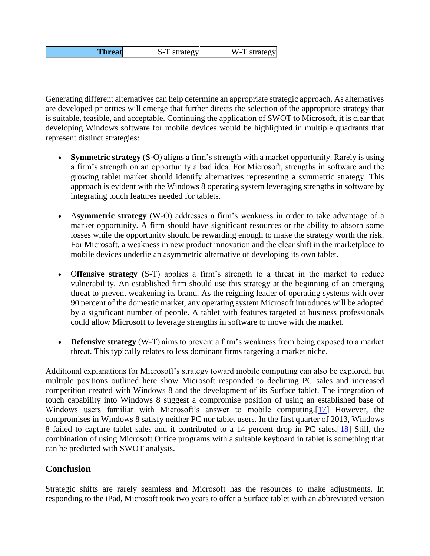| <b>Threat</b> | S-T strategy | W-T strategy |
|---------------|--------------|--------------|
|---------------|--------------|--------------|

Generating different alternatives can help determine an appropriate strategic approach. As alternatives are developed priorities will emerge that further directs the selection of the appropriate strategy that is suitable, feasible, and acceptable. Continuing the application of SWOT to Microsoft, it is clear that developing Windows software for mobile devices would be highlighted in multiple quadrants that represent distinct strategies:

- **Symmetric strategy** (S-O) aligns a firm's strength with a market opportunity. Rarely is using a firm's strength on an opportunity a bad idea. For Microsoft, strengths in software and the growing tablet market should identify alternatives representing a symmetric strategy. This approach is evident with the Windows 8 operating system leveraging strengths in software by integrating touch features needed for tablets.
- A**symmetric strategy** (W-O) addresses a firm's weakness in order to take advantage of a market opportunity. A firm should have significant resources or the ability to absorb some losses while the opportunity should be rewarding enough to make the strategy worth the risk. For Microsoft, a weakness in new product innovation and the clear shift in the marketplace to mobile devices underlie an asymmetric alternative of developing its own tablet.
- O**ffensive strategy** (S-T) applies a firm's strength to a threat in the market to reduce vulnerability. An established firm should use this strategy at the beginning of an emerging threat to prevent weakening its brand. As the reigning leader of operating systems with over 90 percent of the domestic market, any operating system Microsoft introduces will be adopted by a significant number of people. A tablet with features targeted at business professionals could allow Microsoft to leverage strengths in software to move with the market.
- **Defensive strategy** (W-T) aims to prevent a firm's weakness from being exposed to a market threat. This typically relates to less dominant firms targeting a market niche.

Additional explanations for Microsoft's strategy toward mobile computing can also be explored, but multiple positions outlined here show Microsoft responded to declining PC sales and increased competition created with Windows 8 and the development of its Surface tablet. The integration of touch capability into Windows 8 suggest a compromise position of using an established base of Windows users familiar with Microsoft's answer to mobile computing.[\[17\]](http://gbr.pepperdine.edu/2013/09/microsoft-surface-tablet/#note17) However, the compromises in Windows 8 satisfy neither PC nor tablet users. In the first quarter of 2013, Windows 8 failed to capture tablet sales and it contributed to a 14 percent drop in PC sales.[\[18\]](http://gbr.pepperdine.edu/2013/09/microsoft-surface-tablet/#note18) Still, the combination of using Microsoft Office programs with a suitable keyboard in tablet is something that can be predicted with SWOT analysis.

### **Conclusion**

Strategic shifts are rarely seamless and Microsoft has the resources to make adjustments. In responding to the iPad, Microsoft took two years to offer a Surface tablet with an abbreviated version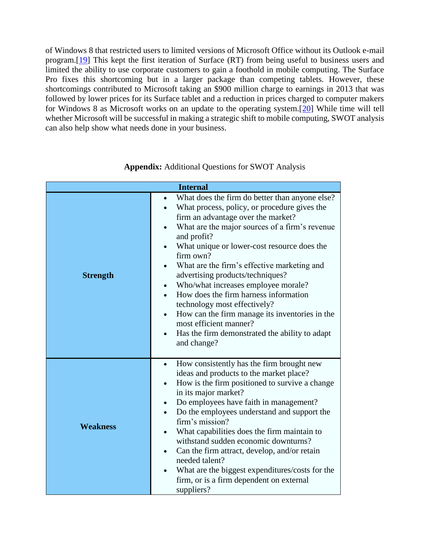of Windows 8 that restricted users to limited versions of Microsoft Office without its Outlook e-mail program.[\[19\]](http://gbr.pepperdine.edu/2013/09/microsoft-surface-tablet/#note19) This kept the first iteration of Surface (RT) from being useful to business users and limited the ability to use corporate customers to gain a foothold in mobile computing. The Surface Pro fixes this shortcoming but in a larger package than competing tablets. However, these shortcomings contributed to Microsoft taking an \$900 million charge to earnings in 2013 that was followed by lower prices for its Surface tablet and a reduction in prices charged to computer makers for Windows 8 as Microsoft works on an update to the operating system.[\[20\]](http://gbr.pepperdine.edu/2013/09/microsoft-surface-tablet/#note20) While time will tell whether Microsoft will be successful in making a strategic shift to mobile computing, SWOT analysis can also help show what needs done in your business.

| <b>Internal</b> |                                                                                                                                                                                                                                                                                                                                                                                                                                                                                                                                                                                                                                             |  |
|-----------------|---------------------------------------------------------------------------------------------------------------------------------------------------------------------------------------------------------------------------------------------------------------------------------------------------------------------------------------------------------------------------------------------------------------------------------------------------------------------------------------------------------------------------------------------------------------------------------------------------------------------------------------------|--|
| <b>Strength</b> | What does the firm do better than anyone else?<br>$\bullet$<br>What process, policy, or procedure gives the<br>firm an advantage over the market?<br>What are the major sources of a firm's revenue<br>and profit?<br>What unique or lower-cost resource does the<br>firm own?<br>What are the firm's effective marketing and<br>advertising products/techniques?<br>Who/what increases employee morale?<br>How does the firm harness information<br>technology most effectively?<br>How can the firm manage its inventories in the<br>$\bullet$<br>most efficient manner?<br>Has the firm demonstrated the ability to adapt<br>and change? |  |
| <b>Weakness</b> | How consistently has the firm brought new<br>$\bullet$<br>ideas and products to the market place?<br>How is the firm positioned to survive a change<br>in its major market?<br>Do employees have faith in management?<br>Do the employees understand and support the<br>firm's mission?<br>What capabilities does the firm maintain to<br>$\bullet$<br>withstand sudden economic downturns?<br>Can the firm attract, develop, and/or retain<br>$\bullet$<br>needed talent?<br>What are the biggest expenditures/costs for the<br>firm, or is a firm dependent on external<br>suppliers?                                                     |  |

**Appendix:** Additional Questions for SWOT Analysis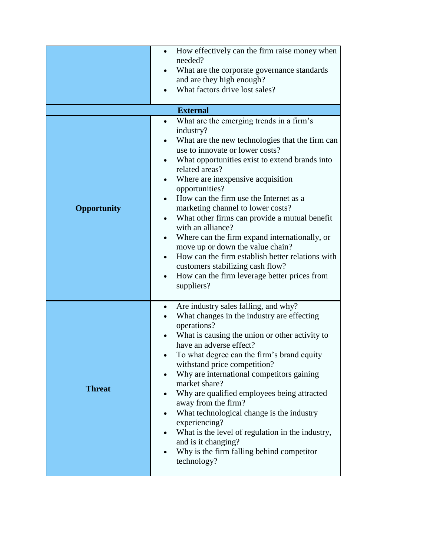| Opportunity   | How effectively can the firm raise money when<br>needed?<br>What are the corporate governance standards<br>$\bullet$<br>and are they high enough?<br>What factors drive lost sales?<br><b>External</b><br>What are the emerging trends in a firm's<br>$\bullet$<br>industry?<br>What are the new technologies that the firm can<br>use to innovate or lower costs?<br>What opportunities exist to extend brands into<br>related areas?<br>Where are inexpensive acquisition<br>$\bullet$<br>opportunities?<br>How can the firm use the Internet as a<br>marketing channel to lower costs?                          |
|---------------|--------------------------------------------------------------------------------------------------------------------------------------------------------------------------------------------------------------------------------------------------------------------------------------------------------------------------------------------------------------------------------------------------------------------------------------------------------------------------------------------------------------------------------------------------------------------------------------------------------------------|
|               | What other firms can provide a mutual benefit<br>$\bullet$<br>with an alliance?<br>Where can the firm expand internationally, or<br>٠<br>move up or down the value chain?<br>How can the firm establish better relations with<br>customers stabilizing cash flow?<br>How can the firm leverage better prices from<br>suppliers?                                                                                                                                                                                                                                                                                    |
| <b>Threat</b> | Are industry sales falling, and why?<br>$\bullet$<br>What changes in the industry are effecting<br>operations?<br>What is causing the union or other activity to<br>have an adverse effect?<br>To what degree can the firm's brand equity<br>withstand price competition?<br>Why are international competitors gaining<br>market share?<br>Why are qualified employees being attracted<br>away from the firm?<br>What technological change is the industry<br>experiencing?<br>What is the level of regulation in the industry,<br>and is it changing?<br>Why is the firm falling behind competitor<br>technology? |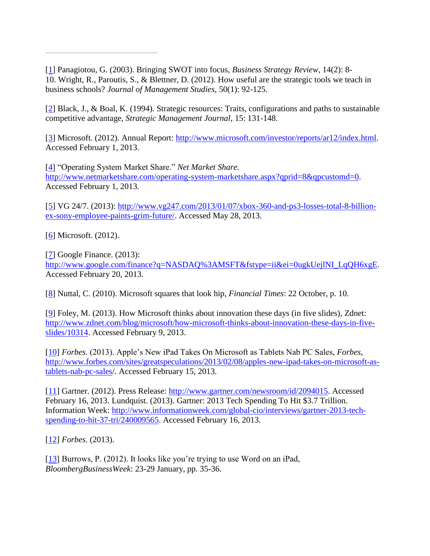[\[1\]](http://gbr.pepperdine.edu/2013/09/microsoft-surface-tablet/#ref1) Panagiotou, G. (2003). Bringing SWOT into focus, *Business Strategy Review*, 14(2): 8- 10. Wright, R., Paroutis, S., & Blettner, D. (2012). How useful are the strategic tools we teach in business schools? *Journal of Management Studies*, 50(1): 92-125.

[\[2\]](http://gbr.pepperdine.edu/2013/09/microsoft-surface-tablet/#ref2) Black, J., & Boal, K. (1994). Strategic resources: Traits, configurations and paths to sustainable competitive advantage, *Strategic Management Journal*, 15: 131-148.

[\[3\]](http://gbr.pepperdine.edu/2013/09/microsoft-surface-tablet/#ref3) Microsoft. (2012). Annual Report: [http://www.microsoft.com/investor/reports/ar12/index.html.](http://www.microsoft.com/investor/reports/ar12/index.html) Accessed February 1, 2013.

[\[4\]](http://gbr.pepperdine.edu/2013/09/microsoft-surface-tablet/#ref4) "Operating System Market Share." *Net Market Share.*  [http://www.netmarketshare.com/operating-system-marketshare.aspx?qprid=8&qpcustomd=0.](http://www.netmarketshare.com/operating-system-marketshare.aspx?qprid=8&qpcustomd=0) Accessed February 1, 2013.

[\[5\]](http://gbr.pepperdine.edu/2013/09/microsoft-surface-tablet/#ref5) VG 24/7. (2013): [http://www.vg247.com/2013/01/07/xbox-360-and-ps3-losses-total-8-billion](http://www.vg247.com/2013/01/07/xbox-360-and-ps3-losses-total-8-billion-ex-sony-employee-paints-grim-future/)[ex-sony-employee-paints-grim-future/.](http://www.vg247.com/2013/01/07/xbox-360-and-ps3-losses-total-8-billion-ex-sony-employee-paints-grim-future/) Accessed May 28, 2013.

[\[6\]](http://gbr.pepperdine.edu/2013/09/microsoft-surface-tablet/#ref6) Microsoft. (2012).

[\[7\]](http://gbr.pepperdine.edu/2013/09/microsoft-surface-tablet/#ref7) Google Finance. (2013): [http://www.google.com/finance?q=NASDAQ%3AMSFT&fstype=ii&ei=0ugkUejlNI\\_LqQH6xgE.](http://www.google.com/finance?q=NASDAQ%3AMSFT&fstype=ii&ei=0ugkUejlNI_LqQH6xgE) Accessed February 20, 2013.

[\[8\]](http://gbr.pepperdine.edu/2013/09/microsoft-surface-tablet/#ref8) Nuttal, C. (2010). Microsoft squares that look hip, *Financial Times*: 22 October, p. 10.

[\[9\]](http://gbr.pepperdine.edu/2013/09/microsoft-surface-tablet/#ref9) Foley, M. (2013). How Microsoft thinks about innovation these days (in five slides), Zdnet: [http://www.zdnet.com/blog/microsoft/how-microsoft-thinks-about-innovation-these-days-in-five](http://www.zdnet.com/blog/microsoft/how-microsoft-thinks-about-innovation-these-days-in-five-slides/10314)[slides/10314.](http://www.zdnet.com/blog/microsoft/how-microsoft-thinks-about-innovation-these-days-in-five-slides/10314) Accessed February 9, 2013.

[\[10\]](http://gbr.pepperdine.edu/2013/09/microsoft-surface-tablet/#ref10) *Forbes*. (2013). Apple's New iPad Takes On Microsoft as Tablets Nab PC Sales, *Forbes*, [http://www.forbes.com/sites/greatspeculations/2013/02/08/apples-new-ipad-takes-on-microsoft-as](http://www.forbes.com/sites/greatspeculations/2013/02/08/apples-new-ipad-takes-on-microsoft-as-tablets-nab-pc-sales)[tablets-nab-pc-sales/](http://www.forbes.com/sites/greatspeculations/2013/02/08/apples-new-ipad-takes-on-microsoft-as-tablets-nab-pc-sales)*.* Accessed February 15, 2013*.*

[\[11\]](http://gbr.pepperdine.edu/2013/09/microsoft-surface-tablet/#ref11) Gartner. (2012). Press Release: [http://www.gartner.com/newsroom/id/2094015.](http://www.gartner.com/newsroom/id/2094015) Accessed February 16, 2013. Lundquist. (2013). Gartner: 2013 Tech Spending To Hit \$3.7 Trillion. Information Week: [http://www.informationweek.com/global-cio/interviews/gartner-2013-tech](http://www.informationweek.com/global-cio/interviews/gartner-2013-tech-spending-to-hit-37-tri/240009565)[spending-to-hit-37-tri/240009565.](http://www.informationweek.com/global-cio/interviews/gartner-2013-tech-spending-to-hit-37-tri/240009565) Accessed February 16, 2013.

[\[12\]](http://gbr.pepperdine.edu/2013/09/microsoft-surface-tablet/#ref12) *Forbes*. (2013).

[\[13\]](http://gbr.pepperdine.edu/2013/09/microsoft-surface-tablet/#ref13) Burrows, P. (2012). It looks like you're trying to use Word on an iPad, *BloombergBusinessWeek*: 23-29 January, pp. 35-36.